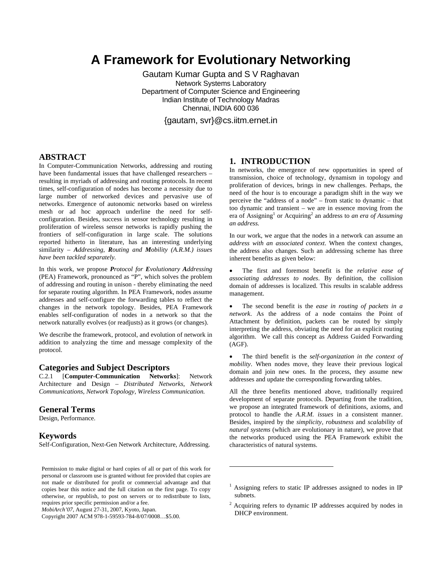# **A Framework for Evolutionary Networking**

Gautam Kumar Gupta and S V Raghavan Network Systems Laboratory Department of Computer Science and Engineering Indian Institute of Technology Madras Chennai, INDIA 600 036

{gautam, svr}@cs.iitm.ernet.in

 $\overline{a}$ 

# **ABSTRACT**

In Computer-Communication Networks, addressing and routing have been fundamental issues that have challenged researchers – resulting in myriads of addressing and routing protocols. In recent times, self-configuration of nodes has become a necessity due to large number of networked devices and pervasive use of networks. Emergence of autonomic networks based on wireless mesh or ad hoc approach underline the need for selfconfiguration. Besides, success in sensor technology resulting in proliferation of wireless sensor networks is rapidly pushing the frontiers of self-configuration in large scale. The solutions reported hitherto in literature, has an interesting underlying similarity – *Addressing, Routing and Mobility (A.R.M.) issues have been tackled separately.* 

In this work, we propose *Protocol for Evolutionary Addressing* (PEA) Framework, pronounced as "P", which solves the problem of addressing and routing in unison - thereby eliminating the need for separate routing algorithm. In PEA Framework, nodes assume addresses and self-configure the forwarding tables to reflect the changes in the network topology. Besides, PEA Framework enables self-configuration of nodes in a network so that the network naturally evolves (or readjusts) as it grows (or changes).

We describe the framework, protocol, and evolution of network in addition to analyzing the time and message complexity of the protocol.

# **Categories and Subject Descriptors**

C.2.1 [**Computer-Communication Networks**]: Network Architecture and Design – *Distributed Networks, Network Communications, Network Topology, Wireless Communication.* 

# **General Terms**

Design, Performance.

# **Keywords**

Self-Configuration, Next-Gen Network Architecture, Addressing.

# **1. INTRODUCTION**

In networks, the emergence of new opportunities in speed of transmission, choice of technology, dynamism in topology and proliferation of devices, brings in new challenges. Perhaps, the need of the hour is to encourage a paradigm shift in the way we perceive the "address of a node" – from static to dynamic – that too dynamic and transient – we are in essence moving from the era of Assigning<sup>1</sup> or Acquiring<sup>2</sup> an address to *an era of Assuming an address.* 

In our work, we argue that the nodes in a network can assume an *address with an associated context*. When the context changes, the address also changes. Such an addressing scheme has three inherent benefits as given below:

• The first and foremost benefit is the *relative ease of associating addresses to nodes*. By definition, the collision domain of addresses is localized. This results in scalable address management.

• The second benefit is the *ease in routing of packets in a network*. As the address of a node contains the Point of Attachment by definition, packets can be routed by simply interpreting the address, obviating the need for an explicit routing algorithm. We call this concept as Address Guided Forwarding (AGF).

• The third benefit is the *self-organization in the context of mobility*. When nodes move, they leave their previous logical domain and join new ones. In the process, they assume new addresses and update the corresponding forwarding tables.

All the three benefits mentioned above, traditionally required development of separate protocols. Departing from the tradition, we propose an integrated framework of definitions, axioms, and protocol to handle the *A.R.M. issues* in a consistent manner. Besides, inspired by the *simplicity*, *robustness* and *scalability* of *natural systems* (which are evolutionary in nature), we prove that the networks produced using the PEA Framework exhibit the characteristics of natural systems.

*MobiArch'07,* August 27-31, 2007, Kyoto, Japan.

Copyright 2007 ACM 978-1-59593-784-8/07/0008…\$5.00.

Permission to make digital or hard copies of all or part of this work for personal or classroom use is granted without fee provided that copies are not made or distributed for profit or commercial advantage and that copies bear this notice and the full citation on the first page. To copy otherwise, or republish, to post on servers or to redistribute to lists, requires prior specific permission and/or a fee.

<sup>&</sup>lt;sup>1</sup> Assigning refers to static IP addresses assigned to nodes in IP subnets.

<sup>&</sup>lt;sup>2</sup> Acquiring refers to dynamic IP addresses acquired by nodes in DHCP environment.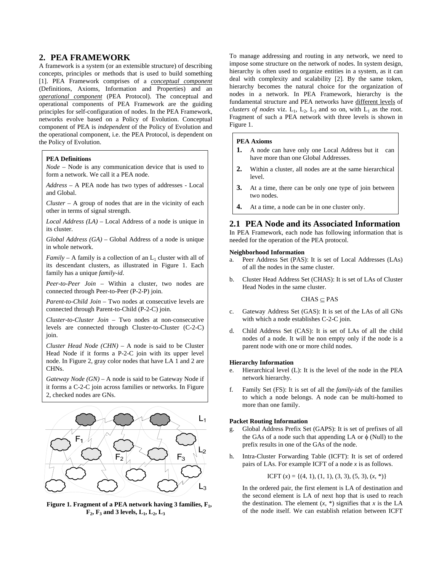# **2. PEA FRAMEWORK**

A framework is a system (or an extensible structure) of describing concepts, principles or methods that is used to build something [1]. PEA Framework comprises of a *conceptual component* (Definitions, Axioms, Information and Properties) and an *operational component* (PEA Protocol). The conceptual and operational components of PEA Framework are the guiding principles for self-configuration of nodes. In the PEA Framework, networks evolve based on a Policy of Evolution. Conceptual component of PEA is *independent* of the Policy of Evolution and the operational component, i.e. the PEA Protocol, is dependent on the Policy of Evolution.

## **PEA Definitions**

*Node* – Node is any communication device that is used to form a network. We call it a PEA node.

*Address* – A PEA node has two types of addresses - Local and Global.

*Cluster* – A group of nodes that are in the vicinity of each other in terms of signal strength.

*Local Address (LA)* – Local Address of a node is unique in its cluster.

*Global Address (GA)* – Global Address of a node is unique in whole network.

*Family* – A family is a collection of an  $L_1$  cluster with all of its descendant clusters, as illustrated in Figure 1. Each family has a unique *family-id*.

*Peer-to-Peer Join* – Within a cluster, two nodes are connected through Peer-to-Peer (P-2-P) join.

*Parent-to-Child Join* – Two nodes at consecutive levels are connected through Parent-to-Child (P-2-C) join.

*Cluster-to-Cluster Join* – Two nodes at non-consecutive levels are connected through Cluster-to-Cluster (C-2-C) join.

*Cluster Head Node (CHN) –* A node is said to be Cluster Head Node if it forms a P-2-C join with its upper level node. In Figure 2, gray color nodes that have LA 1 and 2 are CHNs.

*Gateway Node (GN)* – A node is said to be Gateway Node if it forms a C-2-C join across families or networks. In Figure 2, checked nodes are GNs.



Figure 1. Fragment of a PEA network having 3 families, F<sub>1</sub>,  $F_2, F_3$  and 3 levels,  $L_1, L_2, L_3$ 

To manage addressing and routing in any network, we need to impose some structure on the network of nodes. In system design, hierarchy is often used to organize entities in a system, as it can deal with complexity and scalability [2]. By the same token, hierarchy becomes the natural choice for the organization of nodes in a network. In PEA Framework, hierarchy is the fundamental structure and PEA networks have different levels of *clusters of nodes* viz.  $L_1$ ,  $L_2$ ,  $L_3$  and so on, with  $L_1$  as the root. Fragment of such a PEA network with three levels is shown in Figure 1.

#### **PEA Axioms**

- **1.** A node can have only one Local Address but it can have more than one Global Addresses.
- **2.** Within a cluster, all nodes are at the same hierarchical level.
- **3.** At a time, there can be only one type of join between two nodes.
- **4.** At a time, a node can be in one cluster only.

# **2.1 PEA Node and its Associated Information**

In PEA Framework, each node has following information that is needed for the operation of the PEA protocol.

#### **Neighborhood Information**

- a. Peer Address Set (PAS): It is set of Local Addresses (LAs) of all the nodes in the same cluster.
- b. Cluster Head Address Set (CHAS): It is set of LAs of Cluster Head Nodes in the same cluster.

#### $CHAS \subset PAS$

- c. Gateway Address Set (GAS): It is set of the LAs of all GNs with which a node establishes C-2-C join.
- d. Child Address Set (CAS): It is set of LAs of all the child nodes of a node. It will be non empty only if the node is a parent node with one or more child nodes.

#### **Hierarchy Information**

- e. Hierarchical level (L): It is the level of the node in the PEA network hierarchy.
- f. Family Set (FS): It is set of all the *family-ids* of the families to which a node belongs. A node can be multi-homed to more than one family.

#### **Packet Routing Information**

- g. Global Address Prefix Set (GAPS): It is set of prefixes of all the GAs of a node such that appending LA or  $\phi$  (Null) to the prefix results in one of the GAs of the node.
- h. Intra-Cluster Forwarding Table (ICFT): It is set of ordered pairs of LAs. For example ICFT of a node *x* is as follows.

ICFT 
$$
(x) = \{(4, 1), (1, 1), (3, 3), (5, 3), (x, *)\}
$$

 In the ordered pair, the first element is LA of destination and the second element is LA of next hop that is used to reach the destination. The element  $(x, * )$  signifies that  $x$  is the LA of the node itself. We can establish relation between ICFT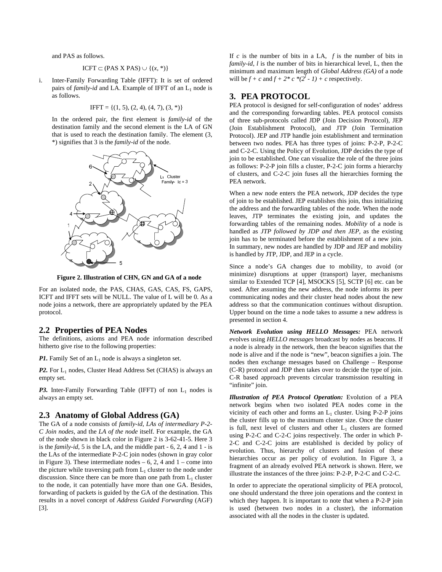and PAS as follows.

$$
ICFT \subset (PAS X PAS) \cup \{(x, *\})
$$

i. Inter-Family Forwarding Table (IFFT): It is set of ordered pairs of *family-id* and LA. Example of IFFT of an L<sub>1</sub> node is as follows.

$$
IFFT = \{(1, 5), (2, 4), (4, 7), (3, *)\}
$$

In the ordered pair, the first element is *family-id* of the destination family and the second element is the LA of GN that is used to reach the destination family. The element (3, \*) signifies that 3 is the *family-id* of the node.



**Figure 2. Illustration of CHN, GN and GA of a node** 

For an isolated node, the PAS, CHAS, GAS, CAS, FS, GAPS, ICFT and IFFT sets will be NULL. The value of L will be 0. As a node joins a network, there are appropriately updated by the PEA protocol.

## **2.2 Properties of PEA Nodes**

The definitions, axioms and PEA node information described hitherto give rise to the following properties:

*P1*. Family Set of an  $L_1$  node is always a singleton set.

*P2.* For  $L_1$  nodes, Cluster Head Address Set (CHAS) is always an empty set.

*P3.* Inter-Family Forwarding Table (IFFT) of non  $L_1$  nodes is always an empty set.

## **2.3 Anatomy of Global Address (GA)**

The GA of a node consists of *family-id*, *LAs of intermediary P-2- C Join nodes*, and the *LA of the node* itself. For example, the GA of the node shown in black color in Figure 2 is 3-62-41-5. Here 3 is the *family-id*, 5 is the LA, and the middle part - 6, 2, 4 and 1 - is the LAs of the intermediate P-2-C join nodes (shown in gray color in Figure 3). These intermediate nodes  $-6$ , 2, 4 and 1 – come into the picture while traversing path from  $L_1$  cluster to the node under discussion. Since there can be more than one path from  $L_1$  cluster to the node, it can potentially have more than one GA. Besides, forwarding of packets is guided by the GA of the destination. This results in a novel concept of *Address Guided Forwarding* (AGF) [3].

If *c* is the number of bits in a LA, *f* is the number of bits in *family-id*, *l* is the number of bits in hierarchical level, L, then the minimum and maximum length of *Global Address (GA)* of a node will be  $f + c$  and  $f + 2 \cdot c \cdot (2^{7} - 1) + c$  respectively.

# **3. PEA PROTOCOL**

PEA protocol is designed for self-configuration of nodes' address and the corresponding forwarding tables. PEA protocol consists of three sub-protocols called JDP (Join Decision Protocol), JEP (Join Establishment Protocol), and JTP (Join Termination Protocol). JEP and JTP handle join establishment and termination between two nodes. PEA has three types of joins: P-2-P, P-2-C and C-2-C. Using the Policy of Evolution, JDP decides the type of join to be established. One can visualize the role of the three joins as follows: P-2-P join fills a cluster, P-2-C join forms a hierarchy of clusters, and C-2-C join fuses all the hierarchies forming the PEA network.

When a new node enters the PEA network, JDP decides the type of join to be established. JEP establishes this join, thus initializing the address and the forwarding tables of the node. When the node leaves, JTP terminates the existing join, and updates the forwarding tables of the remaining nodes. *Mobility* of a node is handled as *JTP followed by JDP and then JEP*, as the existing join has to be terminated before the establishment of a new join. In summary, new nodes are handled by JDP and JEP and mobility is handled by JTP, JDP, and JEP in a cycle.

Since a node's GA changes due to mobility, to avoid (or minimize) disruptions at upper (transport) layer, mechanisms similar to Extended TCP [4], MSOCKS [5], SCTP [6] etc. can be used. After assuming the new address, the node informs its peer communicating nodes and their cluster head nodes about the new address so that the communication continues without disruption. Upper bound on the time a node takes to assume a new address is presented in section 4.

*Network Evolution using HELLO Messages:* PEA network evolves using *HELLO messages* broadcast by nodes as beacons. If a node is already in the network, then the beacon signifies that the node is alive and if the node is "new", beacon signifies a join. The nodes then exchange messages based on Challenge – Response (C-R) protocol and JDP then takes over to decide the type of join. C-R based approach prevents circular transmission resulting in "infinite" join.

*Illustration of PEA Protocol Operation:* Evolution of a PEA network begins when two isolated PEA nodes come in the vicinity of each other and forms an  $L_1$  cluster. Using P-2-P joins the cluster fills up to the maximum cluster size. Once the cluster is full, next level of clusters and other  $L_1$  clusters are formed using P-2-C and C-2-C joins respectively. The order in which P-2-C and C-2-C joins are established is decided by policy of evolution. Thus, hierarchy of clusters and fusion of these hierarchies occur as per policy of evolution. In Figure 3, a fragment of an already evolved PEA network is shown. Here, we illustrate the instances of the three joins: P-2-P, P-2-C and C-2-C.

In order to appreciate the operational simplicity of PEA protocol, one should understand the three join operations and the context in which they happen. It is important to note that when a P-2-P join is used (between two nodes in a cluster), the information associated with all the nodes in the cluster is updated.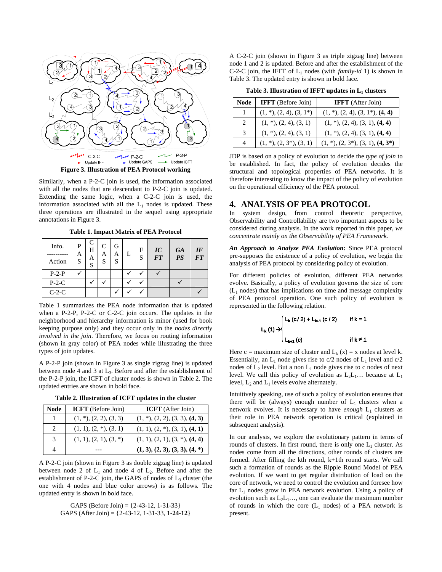

Similarly, when a P-2-C join is used, the information associated with all the nodes that are descendant to P-2-C join is updated. Extending the same logic, when a C-2-C join is used, the information associated with all the  $L_1$  nodes is updated. These three operations are illustrated in the sequel using appropriate annotations in Figure 3.

**Table 1. Impact Matrix of PEA Protocol** 

| Info.<br>Action | P<br>Α<br>S | $\mathcal{C}$<br>Н<br>Α<br>S | $\mathcal{C}$<br>А<br>S | G<br>А<br>S | F<br>S | IC<br>FT | <b>GA</b><br>PS | IF<br><b>FT</b> |
|-----------------|-------------|------------------------------|-------------------------|-------------|--------|----------|-----------------|-----------------|
| $P-2-P$         |             |                              |                         |             |        |          |                 |                 |
| $P-2-C$         |             |                              |                         |             |        |          |                 |                 |
| $C-2-C$         |             |                              |                         |             |        |          |                 |                 |

Table 1 summarizes the PEA node information that is updated when a P-2-P, P-2-C or C-2-C join occurs. The updates in the neighborhood and hierarchy information is minor (used for book keeping purpose only) and they occur only in the *nodes directly involved in the join*. Therefore, we focus on routing information (shown in gray color) of PEA nodes while illustrating the three types of join updates.

A P-2-P join (shown in Figure 3 as single zigzag line) is updated between node 4 and 3 at L3. Before and after the establishment of the P-2-P join, the ICFT of cluster nodes is shown in Table 2. The updated entries are shown in bold face.

| Table 2. Illustration of ICFT updates in the cluster |  |  |  |  |  |  |  |  |
|------------------------------------------------------|--|--|--|--|--|--|--|--|
|------------------------------------------------------|--|--|--|--|--|--|--|--|

| Node          | <b>ICFT</b> (Before Join) | <b>ICFT</b> (After Join)         |
|---------------|---------------------------|----------------------------------|
|               | $(1, *), (2, 2), (3, 3)$  | $(1, *), (2, 2), (3, 3), (4, 3)$ |
| $\mathcal{D}$ | (1, 1), (2, 1), (3, 1)    | (1, 1), (2, 1), (3, 1), (4, 1)   |
| $\mathcal{F}$ | $(1, 1), (2, 1), (3, *)$  | (1, 1), (2, 1), (3, 1), (4, 4)   |
|               |                           | $(1, 3), (2, 3), (3, 3), (4, *)$ |

A P-2-C join (shown in Figure 3 as double zigzag line) is updated between node 2 of  $L_1$  and node 4 of  $L_2$ . Before and after the establishment of P-2-C join, the GAPS of nodes of  $L<sub>3</sub>$  cluster (the one with 4 nodes and blue color arrows) is as follows. The updated entry is shown in bold face.

> GAPS (Before Join) =  $\{2-43-12, 1-31-33\}$ GAPS (After Join) = {2-43-12, 1-31-33, **1-24-12**}

A C-2-C join (shown in Figure 3 as triple zigzag line) between node 1 and 2 is updated. Before and after the establishment of the C-2-C join, the IFFT of  $L_1$  nodes (with *family-id* 1) is shown in Table 3. The updated entry is shown in bold face.

Table 3. Illustration of IFFT updates in L<sub>1</sub> clusters

| <b>Node</b>                 | <b>IFFT</b> (Before Join)  | <b>IFFT</b> (After Join)             |
|-----------------------------|----------------------------|--------------------------------------|
|                             | $(1, *), (2, 4), (3, 1*)$  | $(1, *), (2, 4), (3, 1^*), (4, 4)$   |
| $\mathcal{D}_{\mathcal{L}}$ | $(1, *), (2, 4), (3, 1)$   | $(1, *), (2, 4), (3, 1), (4, 4)$     |
| $\mathcal{E}$               | $(1, *), (2, 4), (3, 1)$   | $(1, *), (2, 4), (3, 1), (4, 4)$     |
|                             | $(1, *), (2, 3^*), (3, 1)$ | $(1, *), (2, 3^*), (3, 1), (4, 3^*)$ |

JDP is based on a policy of evolution to decide the *type of join* to be established. In fact, the policy of evolution decides the structural and topological properties of PEA networks. It is therefore interesting to know the impact of the policy of evolution on the operational efficiency of the PEA protocol.

# **4. ANALYSIS OF PEA PROTOCOL**

In system design, from control theoretic perspective, Observability and Controllability are two important aspects to be considered during analysis. In the work reported in this paper, *we concentrate mainly on the Observability of PEA Framework.* 

*An Approach to Analyze PEA Evolution:* Since PEA protocol pre-supposes the existence of a policy of evolution, we begin the analysis of PEA protocol by considering policy of evolution.

For different policies of evolution, different PEA networks evolve. Basically, a policy of evolution governs the size of core  $(L<sub>1</sub>$  nodes) that has implications on time and message complexity of PEA protocol operation. One such policy of evolution is represented in the following relation.

$$
L_{k}(1) \rightarrow \begin{cases} L_{k}(c/2) + L_{k+1}(c/2) & \text{if } k = 1 \\ \vdots & \text{if } k \neq 1 \\ L_{k+1}(c) & \text{if } k \neq 1 \end{cases}
$$

Here c = maximum size of cluster and  $L_k$  (x) = x nodes at level k. Essentially, an  $L_1$  node gives rise to c/2 nodes of  $L_1$  level and c/2 nodes of  $L_2$  level. But a non  $L_1$  node gives rise to c nodes of next level. We call this policy of evolution as  $L_2L_1...$  because at  $L_1$ level,  $L_2$  and  $L_1$  levels evolve alternately.

Intuitively speaking, use of such a policy of evolution ensures that there will be (always) enough number of  $L_1$  clusters when a network evolves. It is necessary to have *enough*  $L_1$  clusters as their role in PEA network operation is critical (explained in subsequent analysis).

In our analysis, we explore the evolutionary pattern in terms of rounds of clusters. In first round, there is only one  $L_1$  cluster. As nodes come from all the directions, other rounds of clusters are formed. After filling the kth round, k+1th round starts. We call such a formation of rounds as the Ripple Round Model of PEA evolution. If we want to get regular distribution of load on the core of network, we need to control the evolution and foresee how far  $L_1$  nodes grow in PEA network evolution. Using a policy of evolution such as  $L_2L_1\ldots$ , one can evaluate the maximum number of rounds in which the core  $(L_1 \text{ nodes})$  of a PEA network is present.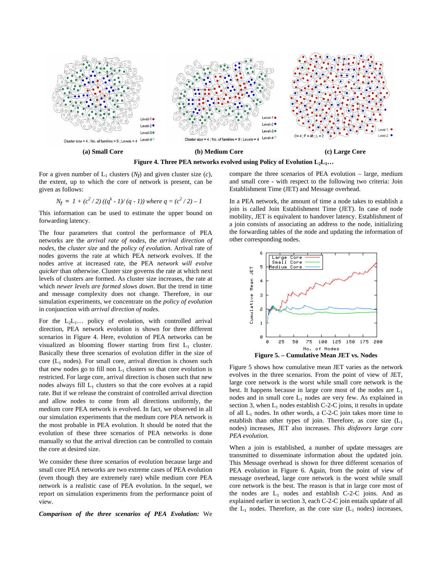

**(a) Small Core (b) Medium Core (c) Large Core** 

#### Figure 4. Three PEA networks evolved using Policy of Evolution L<sub>2</sub>L<sub>1</sub>...

For a given number of  $L_1$  clusters  $(N_f)$  and given cluster size  $(c)$ , the extent, up to which the core of network is present, can be given as follows:

$$
N_f = 1 + (c^2/2)((q^k \cdot 1)/(q \cdot 1)) \text{ where } q = (c^2/2) - 1
$$

This information can be used to estimate the upper bound on forwarding latency.

The four parameters that control the performance of PEA networks are the *arrival rate of nodes*, the *arrival direction of nodes,* the *cluster size* and the *policy of evolution.* Arrival rate of nodes governs the rate at which PEA network evolves. If the nodes arrive at increased rate, the PEA *network will evolve quicker* than otherwise. Cluster size governs the rate at which next levels of clusters are formed. As cluster size increases, the rate at which *newer levels are formed slows down*. But the trend in time and message complexity does not change. Therefore, in our simulation experiments, we concentrate on the *policy of evolution* in conjunction with *arrival direction of nodes.* 

For the  $L_2L_1...$  policy of evolution, with controlled arrival direction, PEA network evolution is shown for three different scenarios in Figure 4. Here, evolution of PEA networks can be visualized as blooming flower starting from first  $L_1$  cluster. Basically these three scenarios of evolution differ in the size of core  $(L_1$  nodes). For small core, arrival direction is chosen such that new nodes go to fill non  $L_1$  clusters so that core evolution is restricted. For large core, arrival direction is chosen such that new nodes always fill  $L_1$  clusters so that the core evolves at a rapid rate. But if we release the constraint of controlled arrival direction and allow nodes to come from all directions uniformly, the medium core PEA network is evolved. In fact, we observed in all our simulation experiments that the medium core PEA network is the most probable in PEA evolution. It should be noted that the evolution of these three scenarios of PEA networks is done manually so that the arrival direction can be controlled to contain the core at desired size.

We consider these three scenarios of evolution because large and small core PEA networks are two extreme cases of PEA evolution (even though they are extremely rare) while medium core PEA network is a realistic case of PEA evolution. In the sequel, we report on simulation experiments from the performance point of view.

*Comparison of the three scenarios of PEA Evolution:* We

compare the three scenarios of PEA evolution – large, medium and small core - with respect to the following two criteria: Join Establishment Time (JET) and Message overhead.

In a PEA network, the amount of time a node takes to establish a join is called Join Establishment Time (JET). In case of node mobility, JET is equivalent to handover latency. Establishment of a join consists of associating an address to the node, initializing the forwarding tables of the node and updating the information of other corresponding nodes.



Figure 5 shows how cumulative mean JET varies as the network evolves in the three scenarios. From the point of view of JET, large core network is the worst while small core network is the best. It happens because in large core most of the nodes are  $L_1$ nodes and in small core  $L_1$  nodes are very few. As explained in section 3, when  $L_1$  nodes establish C-2-C joins, it results in update of all  $L_1$  nodes. In other words, a C-2-C join takes more time to establish than other types of join. Therefore, as core size  $(L<sub>1</sub>)$ nodes) increases, JET also increases. *This disfavors large core PEA evolution.* 

When a join is established, a number of update messages are transmitted to disseminate information about the updated join. This Message overhead is shown for three different scenarios of PEA evolution in Figure 6. Again, from the point of view of message overhead, large core network is the worst while small core network is the best. The reason is that in large core most of the nodes are  $L_1$  nodes and establish C-2-C joins. And as explained earlier in section 3, each C-2-C join entails update of all the  $L_1$  nodes. Therefore, as the core size  $(L_1 \text{ nodes})$  increases,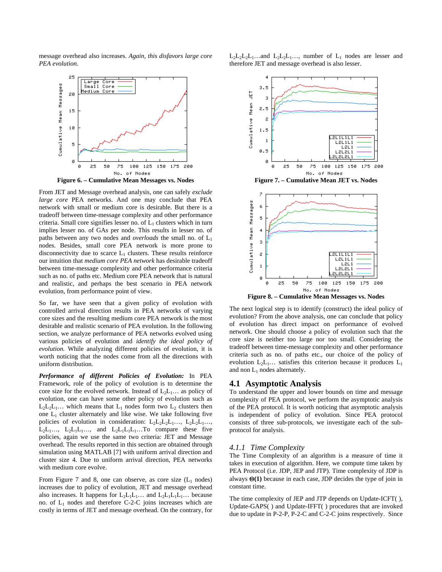message overhead also increases. *Again, this disfavors large core PEA evolution.* 



**Figure 6. – Cumulative Mean Messages vs. Nodes**

From JET and Message overhead analysis, one can safely *exclude large core* PEA networks. And one may conclude that PEA network with small or medium core is desirable. But there is a tradeoff between time-message complexity and other performance criteria. Small core signifies lesser no. of  $L_1$  clusters which in turn implies lesser no. of GAs per node. This results in lesser no. of paths between any two nodes and *overloads* the small no. of L<sub>1</sub> nodes. Besides, small core PEA network is more prone to disconnectivity due to scarce  $L_1$  clusters. These results reinforce our intuition that *medium core PEA network* has desirable tradeoff between time-message complexity and other performance criteria such as no. of paths etc. Medium core PEA network that is natural and realistic, and perhaps the best scenario in PEA network evolution, from performance point of view.

So far, we have seen that a given policy of evolution with controlled arrival direction results in PEA networks of varying core sizes and the resulting medium core PEA network is the most desirable and realistic scenario of PEA evolution. In the following section, we analyze performance of PEA networks evolved using various policies of evolution and *identify the ideal policy of evolution.* While analyzing different policies of evolution, it is worth noticing that the nodes come from all the directions with uniform distribution.

*Performance of different Policies of Evolution:* In PEA Framework, role of the policy of evolution is to determine the core size for the evolved network. Instead of  $L_2L_1...$  as policy of evolution, one can have some other policy of evolution such as  $L_2L_2L_1...$  which means that  $L_1$  nodes form two  $L_2$  clusters then one  $L_1$  cluster alternately and like wise. We take following five policies of evolution in consideration:  $L_2L_2L_2L_1...$ ,  $L_2L_2L_1...$  $L_2L_1...$ ,  $L_2L_1L_1...$ , and  $L_2L_1L_1L_1...$  To compare these five policies, again we use the same two criteria: JET and Message overhead. The results reported in this section are obtained through simulation using MATLAB [7] with uniform arrival direction and cluster size 4. Due to uniform arrival direction, PEA networks with medium core evolve.

From Figure 7 and 8, one can observe, as core size  $(L_1 \text{ nodes})$ increases due to policy of evolution, JET and message overhead also increases. It happens for  $L_2L_1L_1...$  and  $L_2L_1L_1...$  because no. of  $L_1$  nodes and therefore C-2-C joins increases which are costly in terms of JET and message overhead. On the contrary, for



**Figure 8. – Cumulative Mean Messages vs. Nodes**

The next logical step is to identify (construct) the ideal policy of evolution? From the above analysis, one can conclude that policy of evolution has direct impact on performance of evolved network. One should choose a policy of evolution such that the core size is neither too large nor too small. Considering the tradeoff between time-message complexity and other performance criteria such as no. of paths etc., our choice of the policy of evolution  $L_2L_1...$  satisfies this criterion because it produces  $L_1$ and non  $L_1$  nodes alternately.

### **4.1 Asymptotic Analysis**

To understand the upper and lower bounds on time and message complexity of PEA protocol, we perform the asymptotic analysis of the PEA protocol. It is worth noticing that asymptotic analysis is independent of policy of evolution. Since PEA protocol consists of three sub-protocols, we investigate each of the subprotocol for analysis.

#### *4.1.1 Time Complexity*

The Time Complexity of an algorithm is a measure of time it takes in execution of algorithm. Here, we compute time taken by PEA Protocol (i.e. JDP, JEP and JTP). Time complexity of JDP is always Θ**(1)** because in each case, JDP decides the type of join in constant time.

The time complexity of JEP and JTP depends on Update-ICFT( ), Update-GAPS( ) and Update-IFFT( ) procedures that are invoked due to update in P-2-P, P-2-C and C-2-C joins respectively. Since

 $L_2L_2L_1$ ...and  $L_2L_2L_1$ ..., number of  $L_1$  nodes are lesser and therefore JET and message overhead is also lesser.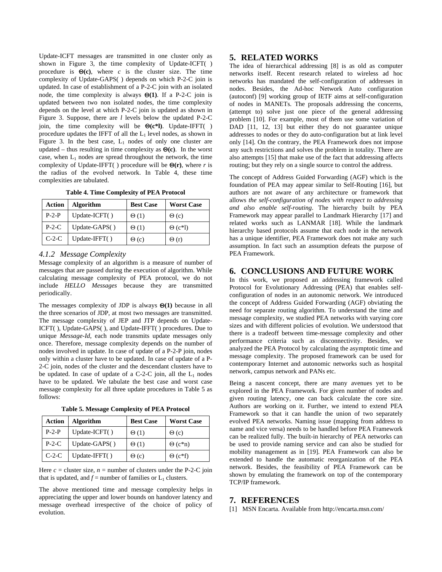Update-ICFT messages are transmitted in one cluster only as shown in Figure 3, the time complexity of Update-ICFT( ) procedure is  $\Theta(c)$ , where *c* is the cluster size. The time complexity of Update-GAPS( ) depends on which P-2-C join is updated. In case of establishment of a P-2-C join with an isolated node, the time complexity is always Θ**(1)**. If a P-2-C join is updated between two non isolated nodes, the time complexity depends on the level at which P-2-C join is updated as shown in Figure 3. Suppose, there are *l* levels below the updated P-2-C join, the time complexity will be Θ**(c\*l)**. Update-IFFT( ) procedure updates the IFFT of all the  $L_1$  level nodes, as shown in Figure 3. In the best case,  $L_1$  nodes of only one cluster are updated – thus resulting in time complexity as Θ**(c)**. In the worst case, when  $L_1$  nodes are spread throughout the network, the time complexity of Update-IFFT( ) procedure will be Θ**(r)**, where *r* is the radius of the evolved network. In Table 4, these time complexities are tabulated.

|  | Table 4. Time Complexity of PEA Protocol |  |  |
|--|------------------------------------------|--|--|
|--|------------------------------------------|--|--|

| Action  | Algorithm       | <b>Best Case</b> | <b>Worst Case</b>           |
|---------|-----------------|------------------|-----------------------------|
| $P-2-P$ | $Update-ICFT()$ | $\Theta$ (1)     | $\Theta$ (c)                |
| $P-2-C$ | $Update-GAPS()$ | $\Theta(1)$      | $\Theta$ (c <sup>*</sup> l) |
| $C-2-C$ | Update-IFFT()   | $\Theta$ (c)     | $\Theta(r)$                 |

# *4.1.2 Message Complexity*

Message complexity of an algorithm is a measure of number of messages that are passed during the execution of algorithm. While calculating message complexity of PEA protocol, we do not include *HELLO Messages* because they are transmitted periodically.

The messages complexity of JDP is always Θ**(1)** because in all the three scenarios of JDP, at most two messages are transmitted. The message complexity of JEP and JTP depends on Update-ICFT( ), Update-GAPS( ), and Update-IFFT( ) procedures. Due to unique *Message-Id*, each node transmits update messages only once. Therefore, message complexity depends on the number of nodes involved in update. In case of update of a P-2-P join, nodes only within a cluster have to be updated. In case of update of a P-2-C join, nodes of the cluster and the descendant clusters have to be updated. In case of update of a C-2-C join, all the  $L_1$  nodes have to be updated. We tabulate the best case and worst case message complexity for all three update procedures in Table 5 as follows:

**Table 5. Message Complexity of PEA Protocol** 

| <b>Action</b> | <b>Algorithm</b> | <b>Best Case</b> | <b>Worst Case</b>           |
|---------------|------------------|------------------|-----------------------------|
| $P-2-P$       | $Update-ICFT()$  | $\Theta(1)$      | $\Theta$ (c)                |
| $P-2-C$       | Update-GAPS()    | $\Theta(1)$      | $\Theta$ (c <sup>*</sup> n) |
| $C-2-C$       | $Update-IFFT()$  | $\Theta$ (c)     | $\Theta$ (c <sup>*</sup> f) |

Here  $c =$  cluster size,  $n =$  number of clusters under the P-2-C join that is updated, and  $f =$  number of families or  $L_1$  clusters.

The above mentioned time and message complexity helps in appreciating the upper and lower bounds on handover latency and message overhead irrespective of the choice of policy of evolution.

# **5. RELATED WORKS**

The idea of hierarchical addressing [8] is as old as computer networks itself. Recent research related to wireless ad hoc networks has mandated the self-configuration of addresses in nodes. Besides, the Ad-hoc Network Auto configuration (autoconf) [9] working group of IETF aims at self-configuration of nodes in MANETs. The proposals addressing the concerns, (attempt to) solve just one piece of the general addressing problem [10]. For example, most of them use some variation of DAD [11, 12, 13] but either they do not guarantee unique addresses to nodes or they do auto-configuration but at link level only [14]. On the contrary, the PEA Framework does not impose any such restrictions and solves the problem in totality. There are also attempts [15] that make use of the fact that addressing affects routing; but they rely on a single source to control the address.

The concept of Address Guided Forwarding (AGF) which is the foundation of PEA may appear similar to Self-Routing [16], but authors are not aware of any architecture or framework that allows *the self-configuration of nodes with respect to addressing and also enable self-routing*. The hierarchy built by PEA Framework may appear parallel to Landmark Hierarchy [17] and related works such as LANMAR [18]. While the landmark hierarchy based protocols assume that each node in the network has a unique identifier, PEA Framework does not make any such assumption. In fact such an assumption defeats the purpose of PEA Framework.

# **6. CONCLUSIONS AND FUTURE WORK**

In this work, we proposed an addressing framework called Protocol for Evolutionary Addressing (PEA) that enables selfconfiguration of nodes in an autonomic network. We introduced the concept of Address Guided Forwarding (AGF) obviating the need for separate routing algorithm. To understand the time and message complexity, we studied PEA networks with varying core sizes and with different policies of evolution. We understood that there is a tradeoff between time-message complexity and other performance criteria such as disconnectivity. Besides, we analyzed the PEA Protocol by calculating the asymptotic time and message complexity. The proposed framework can be used for contemporary Internet and autonomic networks such as hospital network, campus network and PANs etc.

Being a nascent concept, there are many avenues yet to be explored in the PEA Framework. For given number of nodes and given routing latency, one can back calculate the core size. Authors are working on it. Further, we intend to extend PEA Framework so that it can handle the union of two separately evolved PEA networks. Naming issue (mapping from address to name and vice versa) needs to be handled before PEA Framework can be realized fully. The built-in hierarchy of PEA networks can be used to provide naming service and can also be studied for mobility management as in [19]. PEA Framework can also be extended to handle the automatic reorganization of the PEA network. Besides, the feasibility of PEA Framework can be shown by emulating the framework on top of the contemporary TCP/IP framework.

# **7. REFERENCES**

[1] MSN Encarta. Available from http://encarta.msn.com/